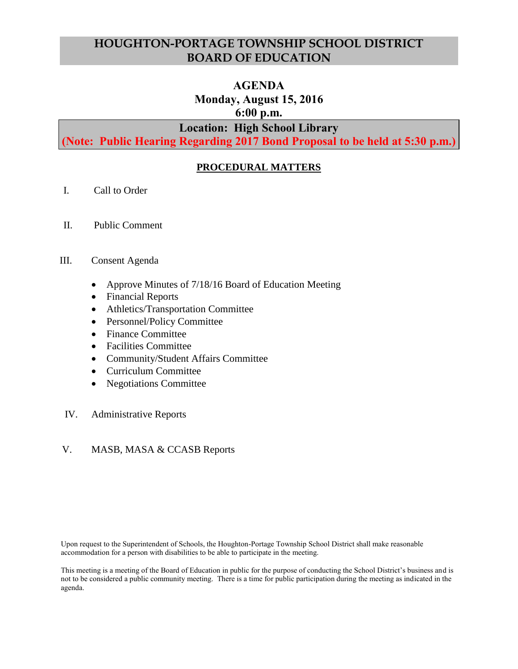# **HOUGHTON-PORTAGE TOWNSHIP SCHOOL DISTRICT BOARD OF EDUCATION**

## **AGENDA**

**Monday, August 15, 2016**

**6:00 p.m.**

# **Location: High School Library**

**(Note: Public Hearing Regarding 2017 Bond Proposal to be held at 5:30 p.m.)**

# **PROCEDURAL MATTERS**

- I. Call to Order
- II. Public Comment

#### III. Consent Agenda

- Approve Minutes of 7/18/16 Board of Education Meeting
- Financial Reports
- Athletics/Transportation Committee
- Personnel/Policy Committee
- Finance Committee
- Facilities Committee
- Community/Student Affairs Committee
- Curriculum Committee
- Negotiations Committee
- IV. Administrative Reports

## V. MASB, MASA & CCASB Reports

Upon request to the Superintendent of Schools, the Houghton-Portage Township School District shall make reasonable accommodation for a person with disabilities to be able to participate in the meeting.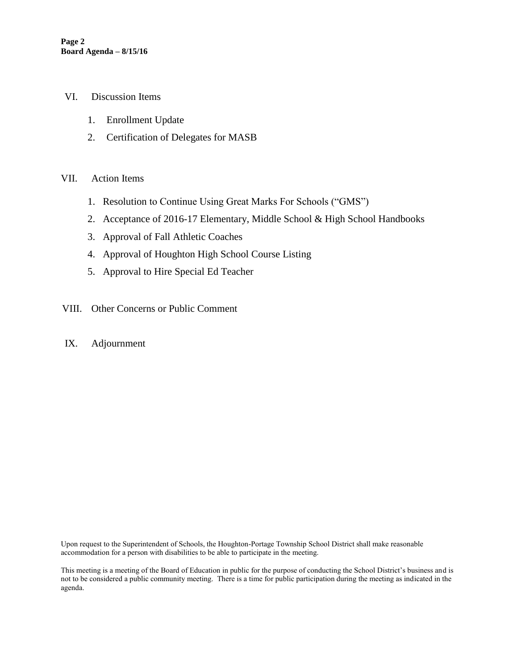- VI. Discussion Items
	- 1. Enrollment Update
	- 2. Certification of Delegates for MASB

#### VII. Action Items

- 1. Resolution to Continue Using Great Marks For Schools ("GMS")
- 2. Acceptance of 2016-17 Elementary, Middle School & High School Handbooks
- 3. Approval of Fall Athletic Coaches
- 4. Approval of Houghton High School Course Listing
- 5. Approval to Hire Special Ed Teacher
- VIII. Other Concerns or Public Comment
- IX. Adjournment

Upon request to the Superintendent of Schools, the Houghton-Portage Township School District shall make reasonable accommodation for a person with disabilities to be able to participate in the meeting.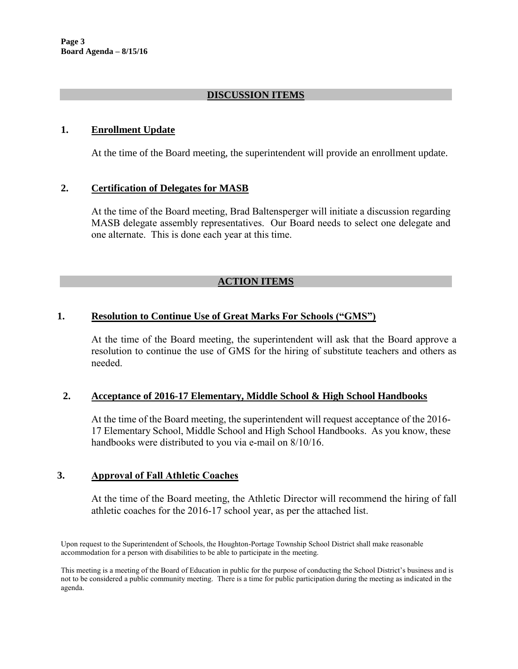#### **DISCUSSION ITEMS**

#### **1. Enrollment Update**

At the time of the Board meeting, the superintendent will provide an enrollment update.

#### **2. Certification of Delegates for MASB**

At the time of the Board meeting, Brad Baltensperger will initiate a discussion regarding MASB delegate assembly representatives. Our Board needs to select one delegate and one alternate. This is done each year at this time.

## **ACTION ITEMS**

#### **1. Resolution to Continue Use of Great Marks For Schools ("GMS")**

At the time of the Board meeting, the superintendent will ask that the Board approve a resolution to continue the use of GMS for the hiring of substitute teachers and others as needed.

#### **2. Acceptance of 2016-17 Elementary, Middle School & High School Handbooks**

At the time of the Board meeting, the superintendent will request acceptance of the 2016- 17 Elementary School, Middle School and High School Handbooks. As you know, these handbooks were distributed to you via e-mail on 8/10/16.

#### **3. Approval of Fall Athletic Coaches**

At the time of the Board meeting, the Athletic Director will recommend the hiring of fall athletic coaches for the 2016-17 school year, as per the attached list.

Upon request to the Superintendent of Schools, the Houghton-Portage Township School District shall make reasonable accommodation for a person with disabilities to be able to participate in the meeting.